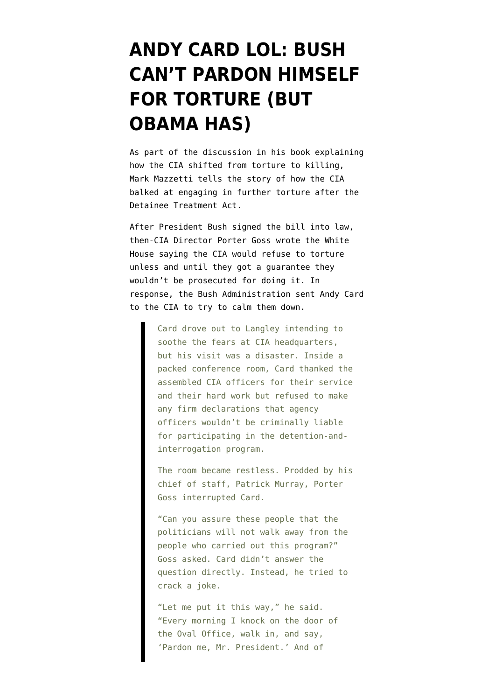## **[ANDY CARD LOL: BUSH](https://www.emptywheel.net/2013/04/14/andy-card-lol-bush-cant-pardon-himself-for-torture-but-obama-has/) [CAN'T PARDON HIMSELF](https://www.emptywheel.net/2013/04/14/andy-card-lol-bush-cant-pardon-himself-for-torture-but-obama-has/) [FOR TORTURE \(BUT](https://www.emptywheel.net/2013/04/14/andy-card-lol-bush-cant-pardon-himself-for-torture-but-obama-has/) [OBAMA HAS\)](https://www.emptywheel.net/2013/04/14/andy-card-lol-bush-cant-pardon-himself-for-torture-but-obama-has/)**

As part of the discussion [in his book](http://www.amazon.com/Way-Knife-Secret-Army-Earth/dp/1594204802/ref=sr_1_1?s=books&ie=UTF8&qid=1365940066&sr=1-1) explaining how the CIA shifted from torture to killing, Mark Mazzetti tells the story of how the CIA balked at engaging in further torture after the Detainee Treatment Act.

After President Bush signed the bill into law, then-CIA Director Porter Goss wrote the White House saying the CIA would refuse to torture unless and until they got a guarantee they wouldn't be prosecuted for doing it. In response, the Bush Administration sent Andy Card to the CIA to try to calm them down.

> Card drove out to Langley intending to soothe the fears at CIA headquarters, but his visit was a disaster. Inside a packed conference room, Card thanked the assembled CIA officers for their service and their hard work but refused to make any firm declarations that agency officers wouldn't be criminally liable for participating in the detention-andinterrogation program.

> The room became restless. Prodded by his chief of staff, Patrick Murray, Porter Goss interrupted Card.

"Can you assure these people that the politicians will not walk away from the people who carried out this program?" Goss asked. Card didn't answer the question directly. Instead, he tried to crack a joke.

"Let me put it this way," he said. "Every morning I knock on the door of the Oval Office, walk in, and say, 'Pardon me, Mr. President.' And of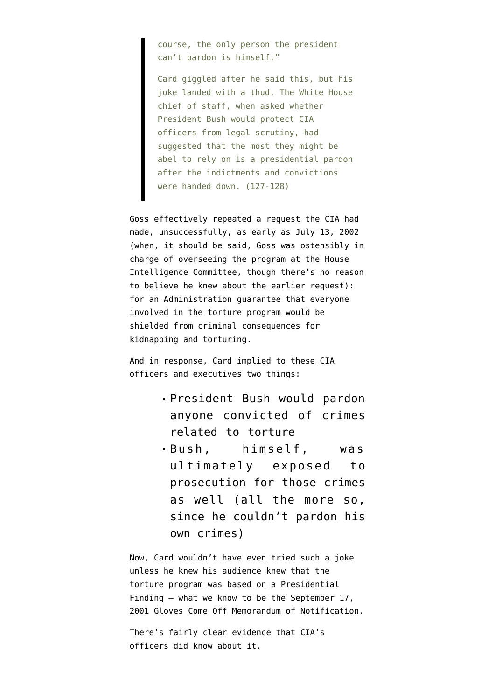course, the only person the president can't pardon is himself."

Card giggled after he said this, but his joke landed with a thud. The White House chief of staff, when asked whether President Bush would protect CIA officers from legal scrutiny, had suggested that the most they might be abel to rely on is a presidential pardon after the indictments and convictions were handed down. (127-128)

Goss effectively repeated a request the CIA had [made, unsuccessfully, as early as July 13, 2002](http://www.emptywheel.net/2010/03/29/the-context-of-the-july-13-fax/) (when, it should be said, Goss was ostensibly in charge of overseeing the program at the House Intelligence Committee, though there's no reason to believe he knew about the earlier request): for an Administration guarantee that everyone involved in the torture program would be shielded from criminal consequences for kidnapping and torturing.

And in response, Card implied to these CIA officers and executives two things:

- President Bush would pardon anyone convicted of crimes related to torture
- Bush, himself, was ultimately exposed to prosecution for those crimes as well (all the more so, since he couldn't pardon his own crimes)

Now, Card wouldn't have even tried such a joke unless he knew his audience knew that the torture program was based on a Presidential Finding — what we know to be the September 17, 2001 [Gloves Come Off Memorandum of Notification.](http://www.emptywheel.net/2012/04/21/the-gloves-come-off-memorandum-of-notification/)

There's fairly clear evidence that CIA's officers did know about it.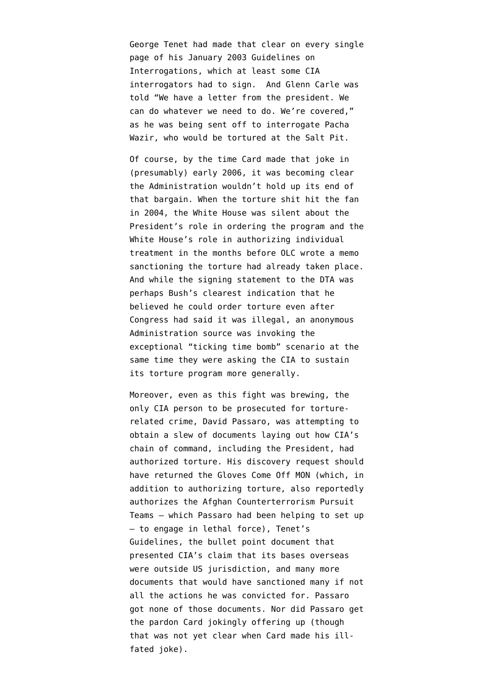George Tenet [had made that clear](http://www.emptywheel.net/2012/04/19/george-tenets-bureaucratic-cya/) on every single page of his [January 2003 Guidelines on](http://www.aclu.org/files/torturefoia/released/082409/olcremand/2004olc12.pdf) [Interrogations](http://www.aclu.org/files/torturefoia/released/082409/olcremand/2004olc12.pdf), which at least some CIA interrogators had to sign. And Glenn Carle [was](http://www.emptywheel.net/2012/04/19/the-memorandum-of-notification-the-cia-pretends-has-never-been-acknolwedged/) [told](http://www.emptywheel.net/2012/04/19/the-memorandum-of-notification-the-cia-pretends-has-never-been-acknolwedged/) "We have a letter from the president. We can do whatever we need to do. We're covered," as he was being sent off to interrogate Pacha Wazir, who would be tortured at the Salt Pit.

Of course, by the time Card made that joke in (presumably) early 2006, it was becoming clear the Administration wouldn't hold up its end of that bargain. When the torture shit hit the fan in 2004, the White House was silent about the President's role in ordering the program and the White House's role in authorizing individual treatment in the months before OLC wrote a memo sanctioning the torture had already taken place. And while the [signing statement to the DTA](http://www.boston.com/news/nation/articles/2006/01/04/bush_could_bypass_new_torture_ban/?page=full) was perhaps Bush's clearest indication that he believed he could order torture even after Congress had said it was illegal, an anonymous Administration source was invoking the exceptional "ticking time bomb" scenario at the same time they were asking the CIA to sustain its torture program more generally.

Moreover, even as this fight was brewing, the only CIA person to be prosecuted for torturerelated crime, David Passaro, was attempting to obtain a slew of documents laying out how CIA's chain of command, including the President, had authorized torture. His discovery request [should](http://www.emptywheel.net/2011/04/13/doj-points-to-david-passaros-trial-as-proof-we-investigate-torture-but-it-actually-proves-john-yoo-should-be-tried/) [have returned](http://www.emptywheel.net/2011/04/13/doj-points-to-david-passaros-trial-as-proof-we-investigate-torture-but-it-actually-proves-john-yoo-should-be-tried/) the Gloves Come Off MON (which, in addition to authorizing torture, also reportedly authorizes the Afghan Counterterrorism Pursuit Teams — which Passaro had been helping to set up — to engage in lethal force), Tenet's Guidelines, the bullet point document that presented CIA's claim that its bases overseas were outside US jurisdiction, and many more documents that would have sanctioned many if not all the actions he was convicted for. Passaro got none of those documents. Nor did Passaro get the pardon Card jokingly offering up (though that was not yet clear when Card made his illfated joke).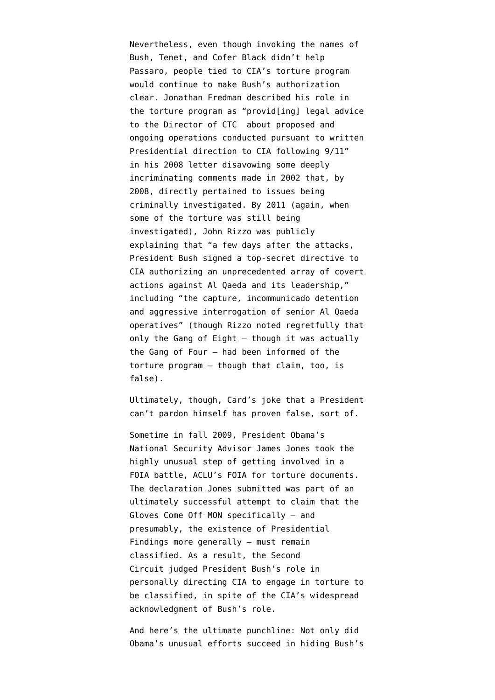Nevertheless, even though invoking the names of Bush, Tenet, and Cofer Black didn't help Passaro, people tied to CIA's torture program would continue to make Bush's authorization clear. Jonathan Fredman described his role in the torture program as "provid[ing] legal advice to the Director of CTC about proposed and ongoing operations conducted pursuant to written Presidential direction to CIA following 9/11" in [his 2008 letter](http://www.emptywheel.net/wp-content/uploads/2013/04/Jonathan-Fredman-to-SASC.pdf) disavowing some deeply incriminating comments made in 2002 that, by 2008, directly pertained to issues being criminally investigated. By 2011 (again, when some of the torture was still being investigated), John Rizzo [was publicly](http://www.hoover.org/publications/defining-ideas/article/91992) [explaining](http://www.hoover.org/publications/defining-ideas/article/91992) that "a few days after the attacks, President Bush signed a top-secret directive to CIA authorizing an unprecedented array of covert actions against Al Qaeda and its leadership," including "the capture, incommunicado detention and aggressive interrogation of senior Al Qaeda operatives" (though Rizzo noted regretfully that only the Gang of Eight — though it was actually the Gang of Four — had been informed of the torture program — though that claim, too, is false).

Ultimately, though, Card's joke that a President can't pardon himself has proven false, sort of.

Sometime in fall 2009, President Obama's National Security Advisor James Jones [took the](http://www.emptywheel.net/2012/04/20/the-cias-nscs-presidents-torture-program/) [highly unusual step](http://www.emptywheel.net/2012/04/20/the-cias-nscs-presidents-torture-program/) of getting involved in a FOIA battle, ACLU's FOIA for torture documents. The declaration Jones submitted was part of an ultimately successful attempt to claim that the Gloves Come Off MON specifically — and presumably, the existence of Presidential Findings more generally — must remain classified. As a result, the Second Circuit [judged](http://www.emptywheel.net/2012/05/21/2nd-circuit-president-can-declare-proof-that-president-authorized-torture-secret/) President Bush's role in personally directing CIA to engage in torture to be classified, in spite of the CIA's widespread acknowledgment of Bush's role.

And here's the ultimate punchline: Not only did Obama's unusual efforts succeed in hiding Bush's